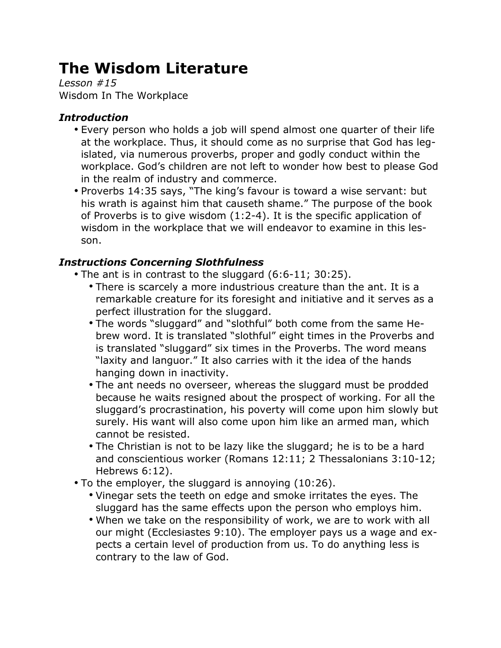# **The Wisdom Literature**

*Lesson #15* Wisdom In The Workplace

## *Introduction*

- Every person who holds a job will spend almost one quarter of their life at the workplace. Thus, it should come as no surprise that God has legislated, via numerous proverbs, proper and godly conduct within the workplace. God's children are not left to wonder how best to please God in the realm of industry and commerce.
- Proverbs 14:35 says, "The king's favour is toward a wise servant: but his wrath is against him that causeth shame." The purpose of the book of Proverbs is to give wisdom (1:2-4). It is the specific application of wisdom in the workplace that we will endeavor to examine in this lesson.

## *Instructions Concerning Slothfulness*

- The ant is in contrast to the sluggard (6:6-11; 30:25).
	- There is scarcely a more industrious creature than the ant. It is a remarkable creature for its foresight and initiative and it serves as a perfect illustration for the sluggard.
	- The words "sluggard" and "slothful" both come from the same Hebrew word. It is translated "slothful" eight times in the Proverbs and is translated "sluggard" six times in the Proverbs. The word means "laxity and languor." It also carries with it the idea of the hands hanging down in inactivity.
	- The ant needs no overseer, whereas the sluggard must be prodded because he waits resigned about the prospect of working. For all the sluggard's procrastination, his poverty will come upon him slowly but surely. His want will also come upon him like an armed man, which cannot be resisted.
	- The Christian is not to be lazy like the sluggard; he is to be a hard and conscientious worker (Romans 12:11; 2 Thessalonians 3:10-12; Hebrews 6:12).
- To the employer, the sluggard is annoying (10:26).
	- Vinegar sets the teeth on edge and smoke irritates the eyes. The sluggard has the same effects upon the person who employs him.
	- When we take on the responsibility of work, we are to work with all our might (Ecclesiastes 9:10). The employer pays us a wage and expects a certain level of production from us. To do anything less is contrary to the law of God.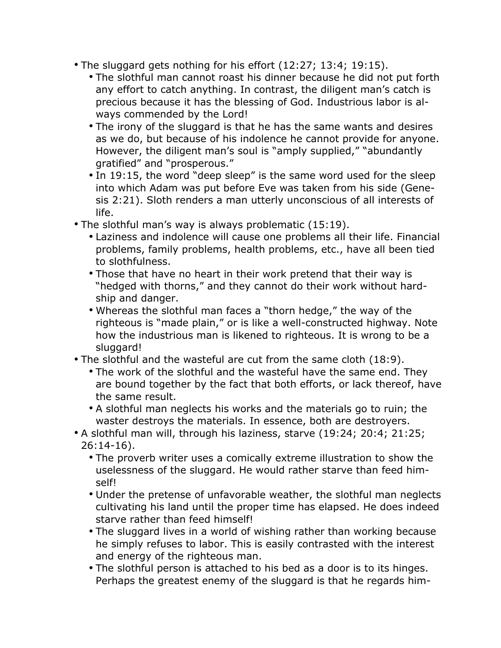- The sluggard gets nothing for his effort (12:27; 13:4; 19:15).
	- The slothful man cannot roast his dinner because he did not put forth any effort to catch anything. In contrast, the diligent man's catch is precious because it has the blessing of God. Industrious labor is always commended by the Lord!
	- The irony of the sluggard is that he has the same wants and desires as we do, but because of his indolence he cannot provide for anyone. However, the diligent man's soul is "amply supplied," "abundantly gratified" and "prosperous."
	- In 19:15, the word "deep sleep" is the same word used for the sleep into which Adam was put before Eve was taken from his side (Genesis 2:21). Sloth renders a man utterly unconscious of all interests of life.
- The slothful man's way is always problematic (15:19).
	- Laziness and indolence will cause one problems all their life. Financial problems, family problems, health problems, etc., have all been tied to slothfulness.
	- Those that have no heart in their work pretend that their way is "hedged with thorns," and they cannot do their work without hardship and danger.
	- Whereas the slothful man faces a "thorn hedge," the way of the righteous is "made plain," or is like a well-constructed highway. Note how the industrious man is likened to righteous. It is wrong to be a sluggard!
- The slothful and the wasteful are cut from the same cloth (18:9).
	- The work of the slothful and the wasteful have the same end. They are bound together by the fact that both efforts, or lack thereof, have the same result.
	- A slothful man neglects his works and the materials go to ruin; the waster destroys the materials. In essence, both are destroyers.
- A slothful man will, through his laziness, starve (19:24; 20:4; 21:25; 26:14-16).
	- The proverb writer uses a comically extreme illustration to show the uselessness of the sluggard. He would rather starve than feed himself!
	- Under the pretense of unfavorable weather, the slothful man neglects cultivating his land until the proper time has elapsed. He does indeed starve rather than feed himself!
	- The sluggard lives in a world of wishing rather than working because he simply refuses to labor. This is easily contrasted with the interest and energy of the righteous man.
	- The slothful person is attached to his bed as a door is to its hinges. Perhaps the greatest enemy of the sluggard is that he regards him-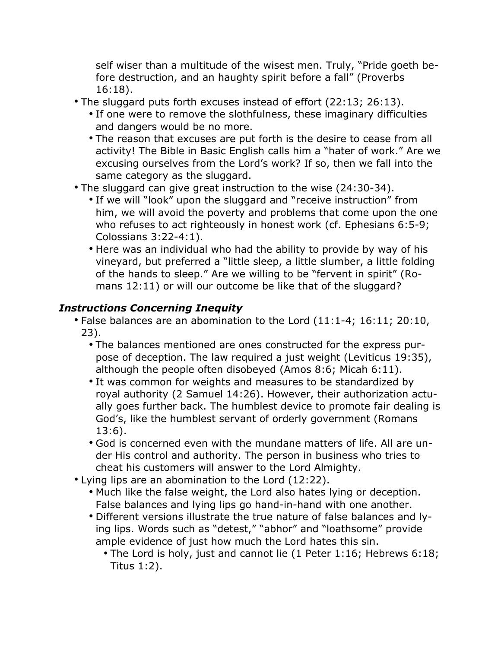self wiser than a multitude of the wisest men. Truly, "Pride goeth before destruction, and an haughty spirit before a fall" (Proverbs 16:18).

- The sluggard puts forth excuses instead of effort (22:13; 26:13).
	- If one were to remove the slothfulness, these imaginary difficulties and dangers would be no more.
	- The reason that excuses are put forth is the desire to cease from all activity! The Bible in Basic English calls him a "hater of work." Are we excusing ourselves from the Lord's work? If so, then we fall into the same category as the sluggard.
- The sluggard can give great instruction to the wise (24:30-34).
	- If we will "look" upon the sluggard and "receive instruction" from him, we will avoid the poverty and problems that come upon the one who refuses to act righteously in honest work (cf. Ephesians 6:5-9; Colossians 3:22-4:1).
	- Here was an individual who had the ability to provide by way of his vineyard, but preferred a "little sleep, a little slumber, a little folding of the hands to sleep." Are we willing to be "fervent in spirit" (Romans 12:11) or will our outcome be like that of the sluggard?

## *Instructions Concerning Inequity*

- False balances are an abomination to the Lord (11:1-4; 16:11; 20:10, 23).
	- The balances mentioned are ones constructed for the express purpose of deception. The law required a just weight (Leviticus 19:35), although the people often disobeyed (Amos 8:6; Micah 6:11).
	- It was common for weights and measures to be standardized by royal authority (2 Samuel 14:26). However, their authorization actually goes further back. The humblest device to promote fair dealing is God's, like the humblest servant of orderly government (Romans 13:6).
	- God is concerned even with the mundane matters of life. All are under His control and authority. The person in business who tries to cheat his customers will answer to the Lord Almighty.
- Lying lips are an abomination to the Lord (12:22).
	- Much like the false weight, the Lord also hates lying or deception. False balances and lying lips go hand-in-hand with one another.
	- Different versions illustrate the true nature of false balances and lying lips. Words such as "detest," "abhor" and "loathsome" provide ample evidence of just how much the Lord hates this sin.
		- The Lord is holy, just and cannot lie (1 Peter 1:16; Hebrews 6:18; Titus 1:2).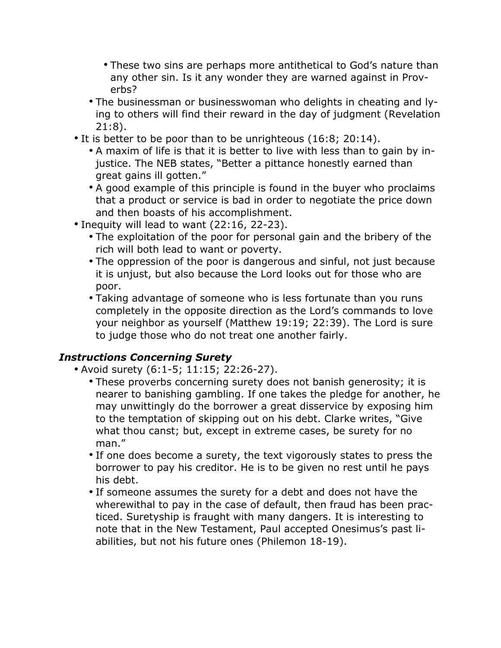- These two sins are perhaps more antithetical to God's nature than any other sin. Is it any wonder they are warned against in Proverbs?
- The businessman or businesswoman who delights in cheating and lying to others will find their reward in the day of judgment (Revelation 21:8).
- It is better to be poor than to be unrighteous (16:8; 20:14).
	- A maxim of life is that it is better to live with less than to gain by injustice. The NEB states, "Better a pittance honestly earned than great gains ill gotten."
	- A good example of this principle is found in the buyer who proclaims that a product or service is bad in order to negotiate the price down and then boasts of his accomplishment.
- Inequity will lead to want (22:16, 22-23).
	- The exploitation of the poor for personal gain and the bribery of the rich will both lead to want or poverty.
	- The oppression of the poor is dangerous and sinful, not just because it is unjust, but also because the Lord looks out for those who are poor.
	- Taking advantage of someone who is less fortunate than you runs completely in the opposite direction as the Lord's commands to love your neighbor as yourself (Matthew 19:19; 22:39). The Lord is sure to judge those who do not treat one another fairly.

## *Instructions Concerning Surety*

- Avoid surety (6:1-5; 11:15; 22:26-27).
	- These proverbs concerning surety does not banish generosity; it is nearer to banishing gambling. If one takes the pledge for another, he may unwittingly do the borrower a great disservice by exposing him to the temptation of skipping out on his debt. Clarke writes, "Give what thou canst; but, except in extreme cases, be surety for no man."
	- If one does become a surety, the text vigorously states to press the borrower to pay his creditor. He is to be given no rest until he pays his debt.
	- If someone assumes the surety for a debt and does not have the wherewithal to pay in the case of default, then fraud has been practiced. Suretyship is fraught with many dangers. It is interesting to note that in the New Testament, Paul accepted Onesimus's past liabilities, but not his future ones (Philemon 18-19).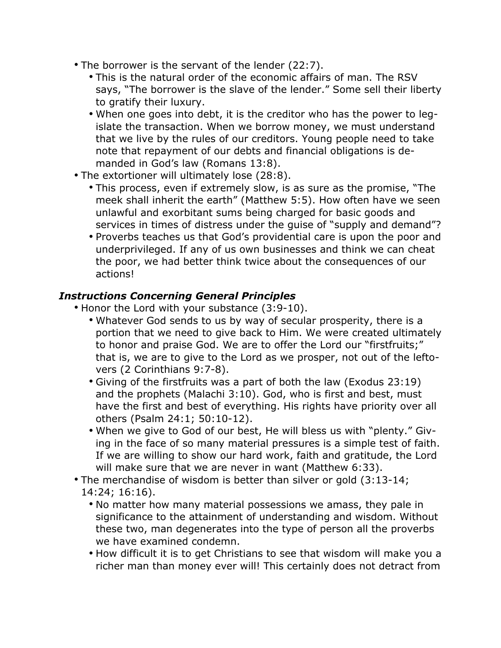- The borrower is the servant of the lender (22:7).
	- This is the natural order of the economic affairs of man. The RSV says, "The borrower is the slave of the lender." Some sell their liberty to gratify their luxury.
	- When one goes into debt, it is the creditor who has the power to legislate the transaction. When we borrow money, we must understand that we live by the rules of our creditors. Young people need to take note that repayment of our debts and financial obligations is demanded in God's law (Romans 13:8).
- The extortioner will ultimately lose (28:8).
	- This process, even if extremely slow, is as sure as the promise, "The meek shall inherit the earth" (Matthew 5:5). How often have we seen unlawful and exorbitant sums being charged for basic goods and services in times of distress under the guise of "supply and demand"?
	- Proverbs teaches us that God's providential care is upon the poor and underprivileged. If any of us own businesses and think we can cheat the poor, we had better think twice about the consequences of our actions!

#### *Instructions Concerning General Principles*

- Honor the Lord with your substance (3:9-10).
	- Whatever God sends to us by way of secular prosperity, there is a portion that we need to give back to Him. We were created ultimately to honor and praise God. We are to offer the Lord our "firstfruits;" that is, we are to give to the Lord as we prosper, not out of the leftovers (2 Corinthians 9:7-8).
	- Giving of the firstfruits was a part of both the law (Exodus 23:19) and the prophets (Malachi 3:10). God, who is first and best, must have the first and best of everything. His rights have priority over all others (Psalm 24:1; 50:10-12).
	- When we give to God of our best, He will bless us with "plenty." Giving in the face of so many material pressures is a simple test of faith. If we are willing to show our hard work, faith and gratitude, the Lord will make sure that we are never in want (Matthew 6:33).
- The merchandise of wisdom is better than silver or gold (3:13-14; 14:24; 16:16).
	- No matter how many material possessions we amass, they pale in significance to the attainment of understanding and wisdom. Without these two, man degenerates into the type of person all the proverbs we have examined condemn.
	- How difficult it is to get Christians to see that wisdom will make you a richer man than money ever will! This certainly does not detract from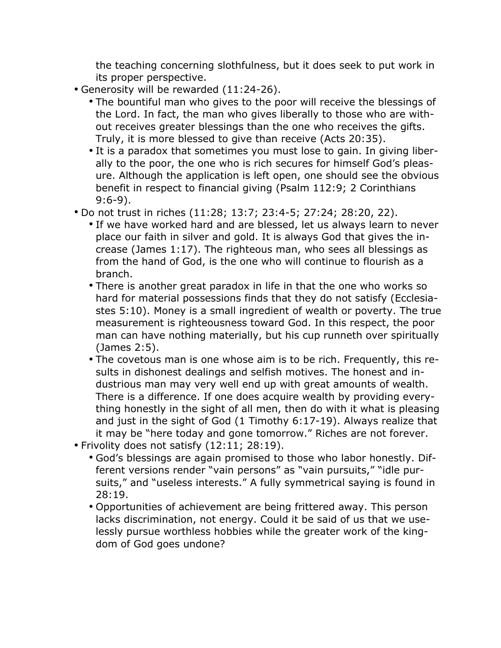the teaching concerning slothfulness, but it does seek to put work in its proper perspective.

- Generosity will be rewarded (11:24-26).
	- The bountiful man who gives to the poor will receive the blessings of the Lord. In fact, the man who gives liberally to those who are without receives greater blessings than the one who receives the gifts. Truly, it is more blessed to give than receive (Acts 20:35).
	- It is a paradox that sometimes you must lose to gain. In giving liberally to the poor, the one who is rich secures for himself God's pleasure. Although the application is left open, one should see the obvious benefit in respect to financial giving (Psalm 112:9; 2 Corinthians 9:6-9).
- Do not trust in riches (11:28; 13:7; 23:4-5; 27:24; 28:20, 22).
	- If we have worked hard and are blessed, let us always learn to never place our faith in silver and gold. It is always God that gives the increase (James 1:17). The righteous man, who sees all blessings as from the hand of God, is the one who will continue to flourish as a branch.
	- There is another great paradox in life in that the one who works so hard for material possessions finds that they do not satisfy (Ecclesiastes 5:10). Money is a small ingredient of wealth or poverty. The true measurement is righteousness toward God. In this respect, the poor man can have nothing materially, but his cup runneth over spiritually (James 2:5).
	- The covetous man is one whose aim is to be rich. Frequently, this results in dishonest dealings and selfish motives. The honest and industrious man may very well end up with great amounts of wealth. There is a difference. If one does acquire wealth by providing everything honestly in the sight of all men, then do with it what is pleasing and just in the sight of God (1 Timothy 6:17-19). Always realize that it may be "here today and gone tomorrow." Riches are not forever.
- Frivolity does not satisfy (12:11; 28:19).
	- God's blessings are again promised to those who labor honestly. Different versions render "vain persons" as "vain pursuits," "idle pursuits," and "useless interests." A fully symmetrical saying is found in 28:19.
	- Opportunities of achievement are being frittered away. This person lacks discrimination, not energy. Could it be said of us that we uselessly pursue worthless hobbies while the greater work of the kingdom of God goes undone?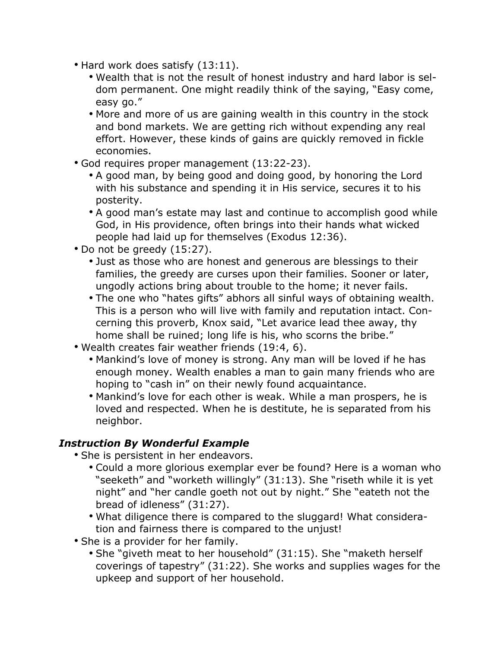- Hard work does satisfy (13:11).
	- Wealth that is not the result of honest industry and hard labor is seldom permanent. One might readily think of the saying, "Easy come, easy go."
	- More and more of us are gaining wealth in this country in the stock and bond markets. We are getting rich without expending any real effort. However, these kinds of gains are quickly removed in fickle economies.
- God requires proper management (13:22-23).
	- A good man, by being good and doing good, by honoring the Lord with his substance and spending it in His service, secures it to his posterity.
	- A good man's estate may last and continue to accomplish good while God, in His providence, often brings into their hands what wicked people had laid up for themselves (Exodus 12:36).
- Do not be greedy (15:27).
	- Just as those who are honest and generous are blessings to their families, the greedy are curses upon their families. Sooner or later, ungodly actions bring about trouble to the home; it never fails.
	- The one who "hates gifts" abhors all sinful ways of obtaining wealth. This is a person who will live with family and reputation intact. Concerning this proverb, Knox said, "Let avarice lead thee away, thy home shall be ruined; long life is his, who scorns the bribe."
- Wealth creates fair weather friends (19:4, 6).
	- Mankind's love of money is strong. Any man will be loved if he has enough money. Wealth enables a man to gain many friends who are hoping to "cash in" on their newly found acquaintance.
	- Mankind's love for each other is weak. While a man prospers, he is loved and respected. When he is destitute, he is separated from his neighbor.

#### *Instruction By Wonderful Example*

- She is persistent in her endeavors.
	- Could a more glorious exemplar ever be found? Here is a woman who "seeketh" and "worketh willingly" (31:13). She "riseth while it is yet night" and "her candle goeth not out by night." She "eateth not the bread of idleness" (31:27).
	- What diligence there is compared to the sluggard! What consideration and fairness there is compared to the unjust!
- She is a provider for her family.
	- She "giveth meat to her household" (31:15). She "maketh herself coverings of tapestry" (31:22). She works and supplies wages for the upkeep and support of her household.